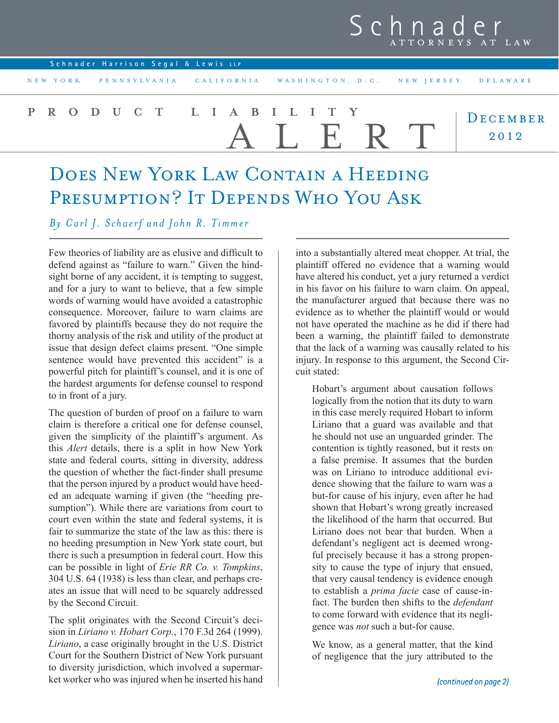|                   |  |                                     |  |  |  | Schnader<br>ATTORNEYS AT LAW                                 |
|-------------------|--|-------------------------------------|--|--|--|--------------------------------------------------------------|
|                   |  | Schnader Harrison Segal & Lewis LLP |  |  |  |                                                              |
| NEW YORK          |  |                                     |  |  |  | PENNSYLVANIA CALIFORNIA WASHINGTON, D.C. NEW JERSEY DELAWARE |
| PRODUCT LIABILITY |  |                                     |  |  |  | DECEMBER<br>2012                                             |

## DOES NEW YORK LAW CONTAIN A HEEDING PRESUMPTION? IT DEPENDS WHO YOU ASK

*By Carl J. Schaerf and John R. Timmer*

Few theories of liability are as elusive and difficult to defend against as "failure to warn." Given the hindsight borne of any accident, it is tempting to suggest, and for a jury to want to believe, that a few simple words of warning would have avoided a catastrophic consequence. Moreover, failure to warn claims are favored by plaintiffs because they do not require the thorny analysis of the risk and utility of the product at issue that design defect claims present. "One simple sentence would have prevented this accident" is a powerful pitch for plaintiff's counsel, and it is one of the hardest arguments for defense counsel to respond to in front of a jury.

The question of burden of proof on a failure to warn claim is therefore a critical one for defense counsel, given the simplicity of the plaintiff's argument. As this *Alert* details, there is a split in how New York state and federal courts, sitting in diversity, address the question of whether the fact-finder shall presume that the person injured by a product would have heeded an adequate warning if given (the "heeding presumption"). While there are variations from court to court even within the state and federal systems, it is fair to summarize the state of the law as this: there is no heeding presumption in New York state court, but there is such a presumption in federal court. How this can be possible in light of *Erie RR Co. v. Tompkins*, 304 U.S. 64 (1938) is less than clear, and perhaps creates an issue that will need to be squarely addressed by the Second Circuit.

The split originates with the Second Circuit's decision in *Liriano v. Hobart Corp.*, 170 F.3d 264 (1999). *Liriano*, a case originally brought in the U.S. District Court for the Southern District of New York pursuant to diversity jurisdiction, which involved a supermarket worker who was injured when he inserted his hand into a substantially altered meat chopper. At trial, the plaintiff offered no evidence that a warning would have altered his conduct, yet a jury returned a verdict in his favor on his failure to warn claim. On appeal, the manufacturer argued that because there was no evidence as to whether the plaintiff would or would not have operated the machine as he did if there had been a warning, the plaintiff failed to demonstrate that the lack of a warning was causally related to his injury. In response to this argument, the Second Circuit stated:

Hobart's argument about causation follows logically from the notion that its duty to warn in this case merely required Hobart to inform Liriano that a guard was available and that he should not use an unguarded grinder. The contention is tightly reasoned, but it rests on a false premise. It assumes that the burden was on Liriano to introduce additional evidence showing that the failure to warn was a but-for cause of his injury, even after he had shown that Hobart's wrong greatly increased the likelihood of the harm that occurred. But Liriano does not bear that burden. When a defendant's negligent act is deemed wrongful precisely because it has a strong propensity to cause the type of injury that ensued, that very causal tendency is evidence enough to establish a *prima facie* case of cause-infact. The burden then shifts to the *defendant* to come forward with evidence that its negligence was *not* such a but-for cause.

We know, as a general matter, that the kind of negligence that the jury attributed to the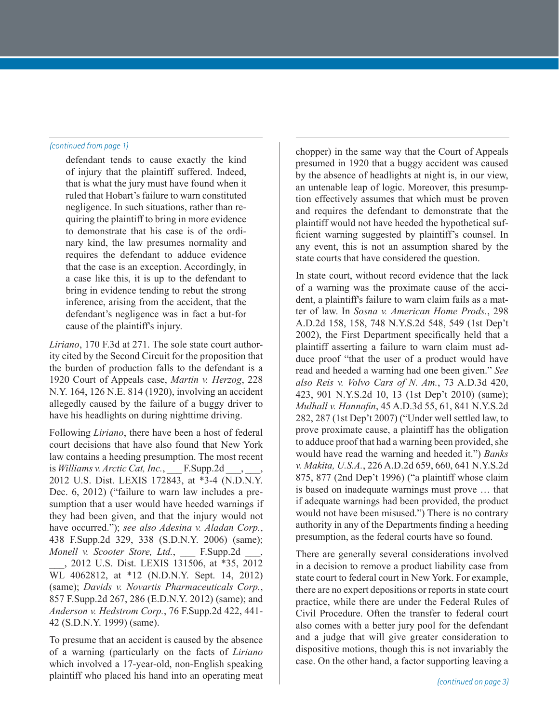defendant tends to cause exactly the kind of injury that the plaintiff suffered. Indeed, that is what the jury must have found when it ruled that Hobart's failure to warn constituted negligence. In such situations, rather than requiring the plaintiff to bring in more evidence to demonstrate that his case is of the ordinary kind, the law presumes normality and requires the defendant to adduce evidence that the case is an exception. Accordingly, in a case like this, it is up to the defendant to bring in evidence tending to rebut the strong inference, arising from the accident, that the defendant's negligence was in fact a but-for cause of the plaintiff's injury.

*Liriano*, 170 F.3d at 271. The sole state court authority cited by the Second Circuit for the proposition that the burden of production falls to the defendant is a 1920 Court of Appeals case, *Martin v. Herzog*, 228 N.Y. 164, 126 N.E. 814 (1920), involving an accident allegedly caused by the failure of a buggy driver to have his headlights on during nighttime driving.

Following *Liriano*, there have been a host of federal court decisions that have also found that New York law contains a heeding presumption. The most recent is *Williams v. Arctic Cat, Inc.*, F.Supp.2d 2012 U.S. Dist. LEXIS 172843, at \*3-4 (N.D.N.Y. Dec. 6, 2012) ("failure to warn law includes a presumption that a user would have heeded warnings if they had been given, and that the injury would not have occurred."); *see also Adesina v. Aladan Corp.*, 438 F.Supp.2d 329, 338 (S.D.N.Y. 2006) (same); *Monell v. Scooter Store, Ltd.,* F.Supp.2d \_\_\_, 2012 U.S. Dist. LEXIS 131506, at \*35, 2012 WL 4062812, at \*12 (N.D.N.Y. Sept. 14, 2012) (same); *Davids v. Novartis Pharmaceuticals Corp.*, 857 F.Supp.2d 267, 286 (E.D.N.Y. 2012) (same); and *Anderson v. Hedstrom Corp.*, 76 F.Supp.2d 422, 441- 42 (S.D.N.Y. 1999) (same).

To presume that an accident is caused by the absence of a warning (particularly on the facts of *Liriano* which involved a 17-year-old, non-English speaking plaintiff who placed his hand into an operating meat

*(continued from page 1)* chopper) in the same way that the Court of Appeals presumed in 1920 that a buggy accident was caused by the absence of headlights at night is, in our view, an untenable leap of logic. Moreover, this presumption effectively assumes that which must be proven and requires the defendant to demonstrate that the plaintiff would not have heeded the hypothetical sufficient warning suggested by plaintiff's counsel. In any event, this is not an assumption shared by the state courts that have considered the question.

> In state court, without record evidence that the lack of a warning was the proximate cause of the accident, a plaintiff's failure to warn claim fails as a matter of law. In *Sosna v. American Home Prods.*, 298 A.D.2d 158, 158, 748 N.Y.S.2d 548, 549 (1st Dep't 2002), the First Department specifically held that a plaintiff asserting a failure to warn claim must adduce proof "that the user of a product would have read and heeded a warning had one been given." *See also Reis v. Volvo Cars of N. Am.*, 73 A.D.3d 420, 423, 901 N.Y.S.2d 10, 13 (1st Dep't 2010) (same); *Mulhall v. Hannafin*, 45 A.D.3d 55, 61, 841 N.Y.S.2d 282, 287 (1st Dep't 2007) ("Under well settled law, to prove proximate cause, a plaintiff has the obligation to adduce proof that had a warning been provided, she would have read the warning and heeded it.") *Banks v. Makita, U.S.A.*, 226 A.D.2d 659, 660, 641 N.Y.S.2d 875, 877 (2nd Dep't 1996) ("a plaintiff whose claim is based on inadequate warnings must prove … that if adequate warnings had been provided, the product would not have been misused.") There is no contrary authority in any of the Departments finding a heeding presumption, as the federal courts have so found.

> There are generally several considerations involved in a decision to remove a product liability case from state court to federal court in New York. For example, there are no expert depositions or reports in state court practice, while there are under the Federal Rules of Civil Procedure. Often the transfer to federal court also comes with a better jury pool for the defendant and a judge that will give greater consideration to dispositive motions, though this is not invariably the case. On the other hand, a factor supporting leaving a